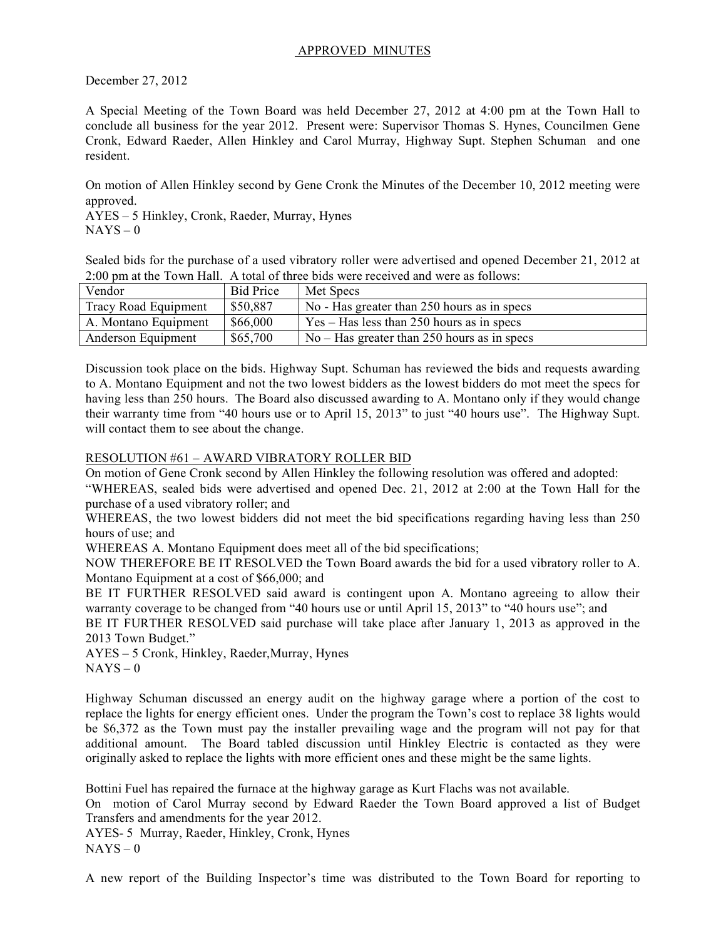## APPROVED MINUTES

December 27, 2012

A Special Meeting of the Town Board was held December 27, 2012 at 4:00 pm at the Town Hall to conclude all business for the year 2012. Present were: Supervisor Thomas S. Hynes, Councilmen Gene Cronk, Edward Raeder, Allen Hinkley and Carol Murray, Highway Supt. Stephen Schuman and one resident.

On motion of Allen Hinkley second by Gene Cronk the Minutes of the December 10, 2012 meeting were approved.

AYES – 5 Hinkley, Cronk, Raeder, Murray, Hynes  $NAYS - 0$ 

Sealed bids for the purchase of a used vibratory roller were advertised and opened December 21, 2012 at 2:00 pm at the Town Hall. A total of three bids were received and were as follows:

| Vendor               | <b>Bid Price</b> | Met Specs                                                    |
|----------------------|------------------|--------------------------------------------------------------|
| Tracy Road Equipment | \$50,887         | No - Has greater than 250 hours as in specs                  |
| A. Montano Equipment | \$66,000         | $\text{Yes} - \text{Has}$ less than 250 hours as in specs    |
| Anderson Equipment   | \$65,700         | $\sqrt{N_0 - H}$ No – Has greater than 250 hours as in specs |

Discussion took place on the bids. Highway Supt. Schuman has reviewed the bids and requests awarding to A. Montano Equipment and not the two lowest bidders as the lowest bidders do mot meet the specs for having less than 250 hours. The Board also discussed awarding to A. Montano only if they would change their warranty time from "40 hours use or to April 15, 2013" to just "40 hours use". The Highway Supt. will contact them to see about the change.

## RESOLUTION #61 – AWARD VIBRATORY ROLLER BID

On motion of Gene Cronk second by Allen Hinkley the following resolution was offered and adopted:

"WHEREAS, sealed bids were advertised and opened Dec. 21, 2012 at 2:00 at the Town Hall for the purchase of a used vibratory roller; and

WHEREAS, the two lowest bidders did not meet the bid specifications regarding having less than 250 hours of use; and

WHEREAS A. Montano Equipment does meet all of the bid specifications;

NOW THEREFORE BE IT RESOLVED the Town Board awards the bid for a used vibratory roller to A. Montano Equipment at a cost of \$66,000; and

BE IT FURTHER RESOLVED said award is contingent upon A. Montano agreeing to allow their warranty coverage to be changed from "40 hours use or until April 15, 2013" to "40 hours use"; and

BE IT FURTHER RESOLVED said purchase will take place after January 1, 2013 as approved in the 2013 Town Budget."

AYES – 5 Cronk, Hinkley, Raeder,Murray, Hynes  $NAYS - 0$ 

Highway Schuman discussed an energy audit on the highway garage where a portion of the cost to replace the lights for energy efficient ones. Under the program the Town's cost to replace 38 lights would be \$6,372 as the Town must pay the installer prevailing wage and the program will not pay for that additional amount. The Board tabled discussion until Hinkley Electric is contacted as they were originally asked to replace the lights with more efficient ones and these might be the same lights.

Bottini Fuel has repaired the furnace at the highway garage as Kurt Flachs was not available.

On motion of Carol Murray second by Edward Raeder the Town Board approved a list of Budget Transfers and amendments for the year 2012.

AYES- 5 Murray, Raeder, Hinkley, Cronk, Hynes  $NAYS - 0$ 

A new report of the Building Inspector's time was distributed to the Town Board for reporting to